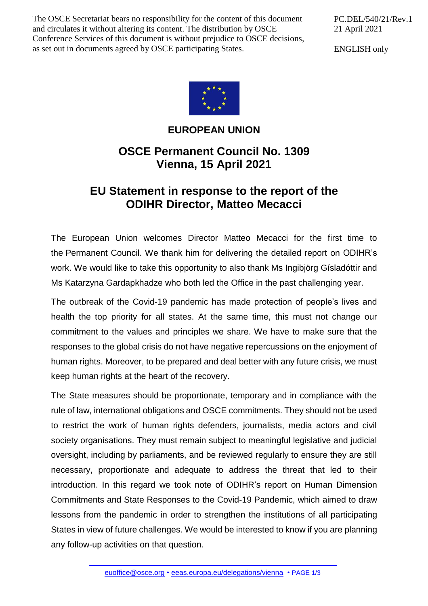The OSCE Secretariat bears no responsibility for the content of this document and circulates it without altering its content. The distribution by OSCE Conference Services of this document is without prejudice to OSCE decisions, as set out in documents agreed by OSCE participating States.

PC.DEL/540/21/Rev.1 21 April 2021

ENGLISH only



## **EUROPEAN UNION**

## **OSCE Permanent Council No. 1309 Vienna, 15 April 2021**

## **EU Statement in response to the report of the ODIHR Director, Matteo Mecacci**

The European Union welcomes Director Matteo Mecacci for the first time to the Permanent Council. We thank him for delivering the detailed report on ODIHR's work. We would like to take this opportunity to also thank Ms Ingibjörg Gísladóttir and Ms Katarzyna Gardapkhadze who both led the Office in the past challenging year.

The outbreak of the Covid-19 pandemic has made protection of people's lives and health the top priority for all states. At the same time, this must not change our commitment to the values and principles we share. We have to make sure that the responses to the global crisis do not have negative repercussions on the enjoyment of human rights. Moreover, to be prepared and deal better with any future crisis, we must keep human rights at the heart of the recovery.

The State measures should be proportionate, temporary and in compliance with the rule of law, international obligations and OSCE commitments. They should not be used to restrict the work of human rights defenders, journalists, media actors and civil society organisations. They must remain subject to meaningful legislative and judicial oversight, including by parliaments, and be reviewed regularly to ensure they are still necessary, proportionate and adequate to address the threat that led to their introduction. In this regard we took note of ODIHR's report on Human Dimension Commitments and State Responses to the Covid-19 Pandemic, which aimed to draw lessons from the pandemic in order to strengthen the institutions of all participating States in view of future challenges. We would be interested to know if you are planning any follow-up activities on that question.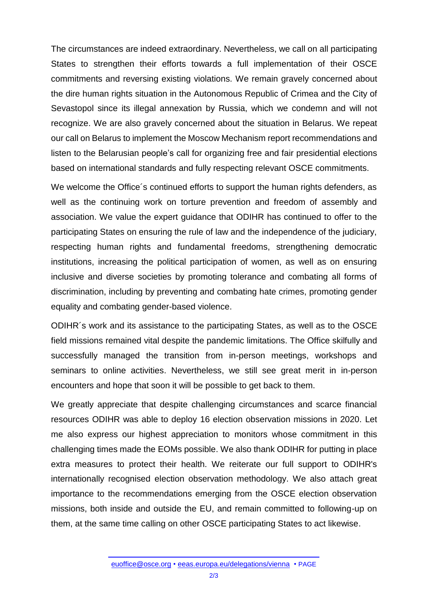The circumstances are indeed extraordinary. Nevertheless, we call on all participating States to strengthen their efforts towards a full implementation of their OSCE commitments and reversing existing violations. We remain gravely concerned about the dire human rights situation in the Autonomous Republic of Crimea and the City of Sevastopol since its illegal annexation by Russia, which we condemn and will not recognize. We are also gravely concerned about the situation in Belarus. We repeat our call on Belarus to implement the Moscow Mechanism report recommendations and listen to the Belarusian people's call for organizing free and fair presidential elections based on international standards and fully respecting relevant OSCE commitments.

We welcome the Office's continued efforts to support the human rights defenders, as well as the continuing work on torture prevention and freedom of assembly and association. We value the expert guidance that ODIHR has continued to offer to the participating States on ensuring the rule of law and the independence of the judiciary, respecting human rights and fundamental freedoms, strengthening democratic institutions, increasing the political participation of women, as well as on ensuring inclusive and diverse societies by promoting tolerance and combating all forms of discrimination, including by preventing and combating hate crimes, promoting gender equality and combating gender-based violence.

ODIHR´s work and its assistance to the participating States, as well as to the OSCE field missions remained vital despite the pandemic limitations. The Office skilfully and successfully managed the transition from in-person meetings, workshops and seminars to online activities. Nevertheless, we still see great merit in in-person encounters and hope that soon it will be possible to get back to them.

We greatly appreciate that despite challenging circumstances and scarce financial resources ODIHR was able to deploy 16 election observation missions in 2020. Let me also express our highest appreciation to monitors whose commitment in this challenging times made the EOMs possible. We also thank ODIHR for putting in place extra measures to protect their health. We reiterate our full support to ODIHR's internationally recognised election observation methodology. We also attach great importance to the recommendations emerging from the OSCE election observation missions, both inside and outside the EU, and remain committed to following-up on them, at the same time calling on other OSCE participating States to act likewise.